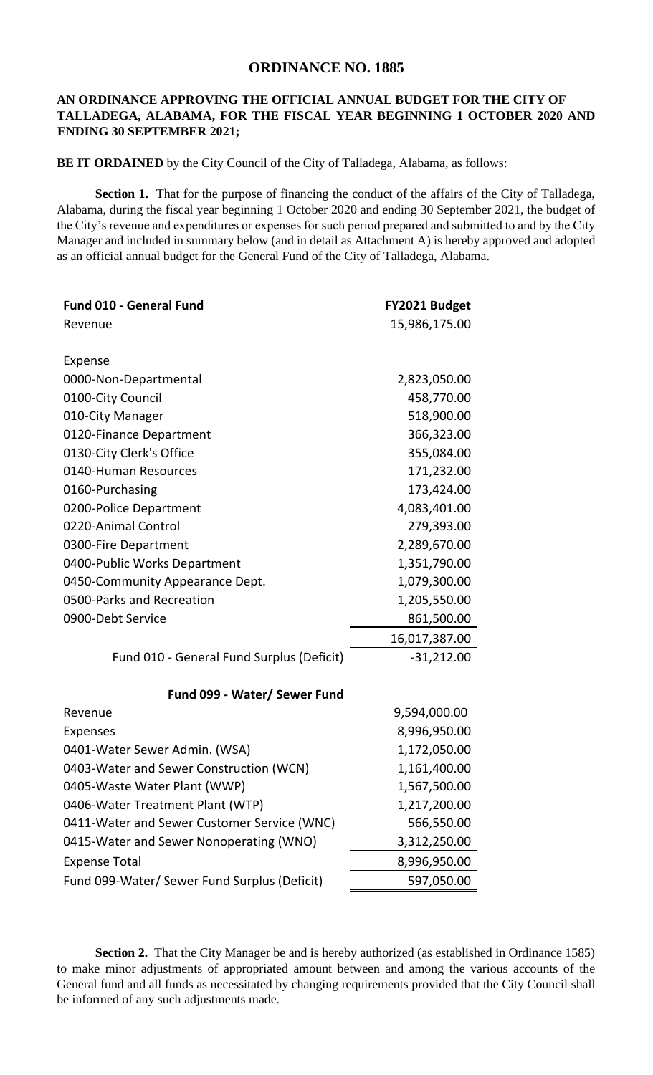## **ORDINANCE NO. 1885**

## **AN ORDINANCE APPROVING THE OFFICIAL ANNUAL BUDGET FOR THE CITY OF TALLADEGA, ALABAMA, FOR THE FISCAL YEAR BEGINNING 1 OCTOBER 2020 AND ENDING 30 SEPTEMBER 2021;**

**BE IT ORDAINED** by the City Council of the City of Talladega, Alabama, as follows:

**Section 1.** That for the purpose of financing the conduct of the affairs of the City of Talladega, Alabama, during the fiscal year beginning 1 October 2020 and ending 30 September 2021, the budget of the City's revenue and expenditures or expenses for such period prepared and submitted to and by the City Manager and included in summary below (and in detail as Attachment A) is hereby approved and adopted as an official annual budget for the General Fund of the City of Talladega, Alabama.

| <b>Fund 010 - General Fund</b>               | FY2021 Budget |
|----------------------------------------------|---------------|
| Revenue                                      | 15,986,175.00 |
|                                              |               |
| Expense                                      |               |
| 0000-Non-Departmental                        | 2,823,050.00  |
| 0100-City Council                            | 458,770.00    |
| 010-City Manager                             | 518,900.00    |
| 0120-Finance Department                      | 366,323.00    |
| 0130-City Clerk's Office                     | 355,084.00    |
| 0140-Human Resources                         | 171,232.00    |
| 0160-Purchasing                              | 173,424.00    |
| 0200-Police Department                       | 4,083,401.00  |
| 0220-Animal Control                          | 279,393.00    |
| 0300-Fire Department                         | 2,289,670.00  |
| 0400-Public Works Department                 | 1,351,790.00  |
| 0450-Community Appearance Dept.              | 1,079,300.00  |
| 0500-Parks and Recreation                    | 1,205,550.00  |
| 0900-Debt Service                            | 861,500.00    |
|                                              | 16,017,387.00 |
| Fund 010 - General Fund Surplus (Deficit)    | $-31,212.00$  |
| Fund 099 - Water/ Sewer Fund                 |               |
| Revenue                                      | 9,594,000.00  |
| Expenses                                     | 8,996,950.00  |
| 0401-Water Sewer Admin. (WSA)                | 1,172,050.00  |
| 0403-Water and Sewer Construction (WCN)      | 1,161,400.00  |
| 0405-Waste Water Plant (WWP)                 | 1,567,500.00  |
| 0406-Water Treatment Plant (WTP)             | 1,217,200.00  |
| 0411-Water and Sewer Customer Service (WNC)  | 566,550.00    |
| 0415-Water and Sewer Nonoperating (WNO)      | 3,312,250.00  |
| <b>Expense Total</b>                         | 8,996,950.00  |
| Fund 099-Water/ Sewer Fund Surplus (Deficit) | 597,050.00    |

**Section 2.** That the City Manager be and is hereby authorized (as established in Ordinance 1585) to make minor adjustments of appropriated amount between and among the various accounts of the General fund and all funds as necessitated by changing requirements provided that the City Council shall be informed of any such adjustments made.